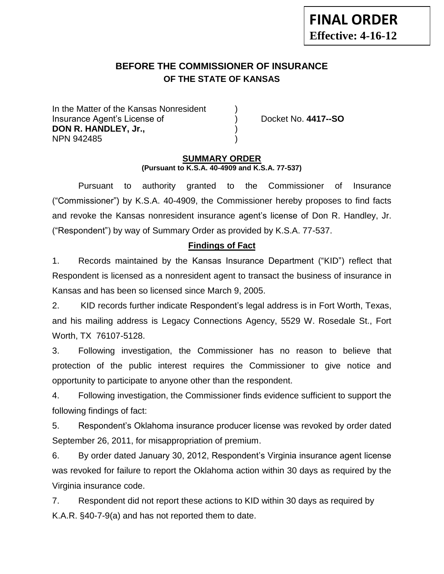# **BEFORE THE COMMISSIONER OF INSURANCE OF THE STATE OF KANSAS**

In the Matter of the Kansas Nonresident Insurance Agent's License of ) Docket No. **4417--SO DON R. HANDLEY, Jr.,** NPN 942485 )

#### **SUMMARY ORDER (Pursuant to K.S.A. 40-4909 and K.S.A. 77-537)**

Pursuant to authority granted to the Commissioner of Insurance ("Commissioner") by K.S.A. 40-4909, the Commissioner hereby proposes to find facts and revoke the Kansas nonresident insurance agent's license of Don R. Handley, Jr. ("Respondent") by way of Summary Order as provided by K.S.A. 77-537.

# **Findings of Fact**

1. Records maintained by the Kansas Insurance Department ("KID") reflect that Respondent is licensed as a nonresident agent to transact the business of insurance in Kansas and has been so licensed since March 9, 2005.

2. KID records further indicate Respondent's legal address is in Fort Worth, Texas, and his mailing address is Legacy Connections Agency, 5529 W. Rosedale St., Fort Worth, TX 76107-5128.

3. Following investigation, the Commissioner has no reason to believe that protection of the public interest requires the Commissioner to give notice and opportunity to participate to anyone other than the respondent.

4. Following investigation, the Commissioner finds evidence sufficient to support the following findings of fact:

5. Respondent's Oklahoma insurance producer license was revoked by order dated September 26, 2011, for misappropriation of premium.

6. By order dated January 30, 2012, Respondent's Virginia insurance agent license was revoked for failure to report the Oklahoma action within 30 days as required by the Virginia insurance code.

7. Respondent did not report these actions to KID within 30 days as required by K.A.R. §40-7-9(a) and has not reported them to date.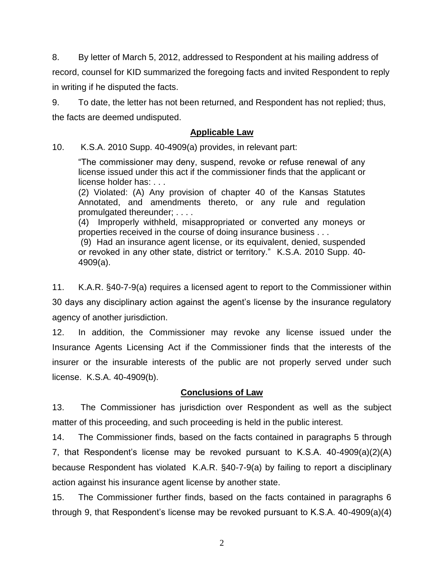8. By letter of March 5, 2012, addressed to Respondent at his mailing address of record, counsel for KID summarized the foregoing facts and invited Respondent to reply in writing if he disputed the facts.

9. To date, the letter has not been returned, and Respondent has not replied; thus, the facts are deemed undisputed.

#### **Applicable Law**

10. K.S.A. 2010 Supp. 40-4909(a) provides, in relevant part:

"The commissioner may deny, suspend, revoke or refuse renewal of any license issued under this act if the commissioner finds that the applicant or license holder has: . . .

(2) Violated: (A) Any provision of chapter 40 of the Kansas Statutes Annotated, and amendments thereto, or any rule and regulation promulgated thereunder; . . . .

(4) Improperly withheld, misappropriated or converted any moneys or properties received in the course of doing insurance business . . .

(9) Had an insurance agent license, or its equivalent, denied, suspended or revoked in any other state, district or territory." K.S.A. 2010 Supp. 40- 4909(a).

11. K.A.R. §40-7-9(a) requires a licensed agent to report to the Commissioner within 30 days any disciplinary action against the agent's license by the insurance regulatory agency of another jurisdiction.

12. In addition, the Commissioner may revoke any license issued under the Insurance Agents Licensing Act if the Commissioner finds that the interests of the insurer or the insurable interests of the public are not properly served under such license. K.S.A. 40-4909(b).

### **Conclusions of Law**

13. The Commissioner has jurisdiction over Respondent as well as the subject matter of this proceeding, and such proceeding is held in the public interest.

14. The Commissioner finds, based on the facts contained in paragraphs 5 through 7, that Respondent's license may be revoked pursuant to K.S.A. 40-4909(a)(2)(A) because Respondent has violated K.A.R. §40-7-9(a) by failing to report a disciplinary action against his insurance agent license by another state.

15. The Commissioner further finds, based on the facts contained in paragraphs 6 through 9, that Respondent's license may be revoked pursuant to K.S.A. 40-4909(a)(4)

2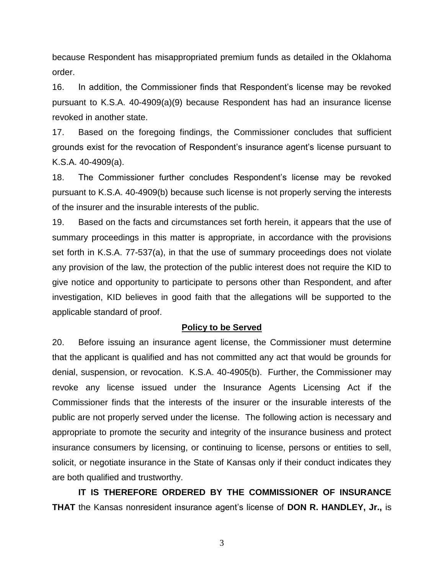because Respondent has misappropriated premium funds as detailed in the Oklahoma order.

16. In addition, the Commissioner finds that Respondent's license may be revoked pursuant to K.S.A. 40-4909(a)(9) because Respondent has had an insurance license revoked in another state.

17. Based on the foregoing findings, the Commissioner concludes that sufficient grounds exist for the revocation of Respondent's insurance agent's license pursuant to K.S.A. 40-4909(a).

18. The Commissioner further concludes Respondent's license may be revoked pursuant to K.S.A. 40-4909(b) because such license is not properly serving the interests of the insurer and the insurable interests of the public.

19. Based on the facts and circumstances set forth herein, it appears that the use of summary proceedings in this matter is appropriate, in accordance with the provisions set forth in K.S.A. 77-537(a), in that the use of summary proceedings does not violate any provision of the law, the protection of the public interest does not require the KID to give notice and opportunity to participate to persons other than Respondent, and after investigation, KID believes in good faith that the allegations will be supported to the applicable standard of proof.

#### **Policy to be Served**

20. Before issuing an insurance agent license, the Commissioner must determine that the applicant is qualified and has not committed any act that would be grounds for denial, suspension, or revocation. K.S.A. 40-4905(b). Further, the Commissioner may revoke any license issued under the Insurance Agents Licensing Act if the Commissioner finds that the interests of the insurer or the insurable interests of the public are not properly served under the license. The following action is necessary and appropriate to promote the security and integrity of the insurance business and protect insurance consumers by licensing, or continuing to license, persons or entities to sell, solicit, or negotiate insurance in the State of Kansas only if their conduct indicates they are both qualified and trustworthy.

**IT IS THEREFORE ORDERED BY THE COMMISSIONER OF INSURANCE THAT** the Kansas nonresident insurance agent's license of **DON R. HANDLEY, Jr.,** is

3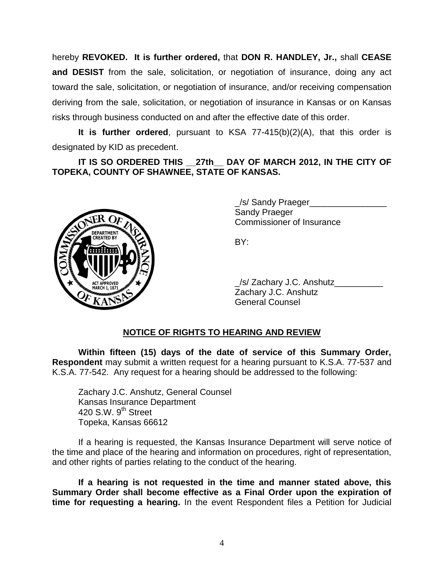hereby **REVOKED. It is further ordered,** that **DON R. HANDLEY, Jr.,** shall **CEASE and DESIST** from the sale, solicitation, or negotiation of insurance, doing any act toward the sale, solicitation, or negotiation of insurance, and/or receiving compensation deriving from the sale, solicitation, or negotiation of insurance in Kansas or on Kansas risks through business conducted on and after the effective date of this order.

**It is further ordered**, pursuant to KSA 77-415(b)(2)(A), that this order is designated by KID as precedent.

**IT IS SO ORDERED THIS \_\_27th\_\_ DAY OF MARCH 2012, IN THE CITY OF TOPEKA, COUNTY OF SHAWNEE, STATE OF KANSAS.**



\_/s/ Sandy Praeger\_\_\_\_\_\_\_\_\_\_\_\_\_\_\_\_ Sandy Praeger Commissioner of Insurance

BY:

\_/s/ Zachary J.C. Anshutz\_\_\_\_\_\_\_\_\_\_ Zachary J.C. Anshutz General Counsel

# **NOTICE OF RIGHTS TO HEARING AND REVIEW**

**Within fifteen (15) days of the date of service of this Summary Order, Respondent** may submit a written request for a hearing pursuant to K.S.A. 77-537 and K.S.A. 77-542. Any request for a hearing should be addressed to the following:

Zachary J.C. Anshutz, General Counsel Kansas Insurance Department 420 S.W.  $9<sup>th</sup>$  Street Topeka, Kansas 66612

If a hearing is requested, the Kansas Insurance Department will serve notice of the time and place of the hearing and information on procedures, right of representation, and other rights of parties relating to the conduct of the hearing.

**If a hearing is not requested in the time and manner stated above, this Summary Order shall become effective as a Final Order upon the expiration of time for requesting a hearing.** In the event Respondent files a Petition for Judicial